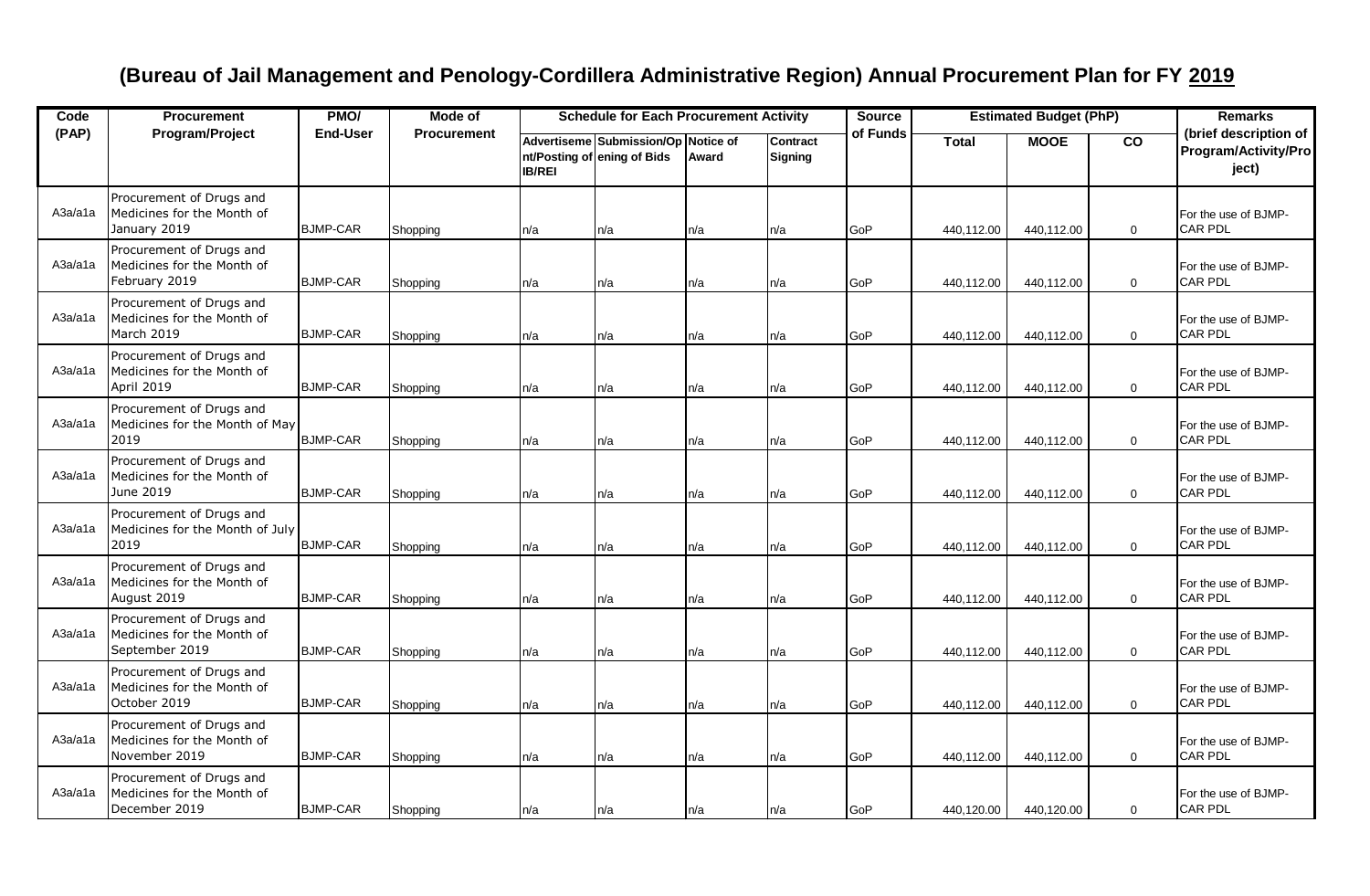## **(Bureau of Jail Management and Penology-Cordillera Administrative Region) Annual Procurement Plan for FY 2019**

| Code    | <b>Procurement</b>                                                       | PMO/            | Mode of            | <b>Schedule for Each Procurement Activity</b> |                                                                    |       |                     | <b>Source</b> | <b>Estimated Budget (PhP)</b> |             |             | <b>Remarks</b>                                         |
|---------|--------------------------------------------------------------------------|-----------------|--------------------|-----------------------------------------------|--------------------------------------------------------------------|-------|---------------------|---------------|-------------------------------|-------------|-------------|--------------------------------------------------------|
| (PAP)   | Program/Project                                                          | <b>End-User</b> | <b>Procurement</b> | <b>IB/REI</b>                                 | Advertiseme Submission/Op Notice of<br>nt/Posting of ening of Bids | Award | Contract<br>Signing | of Funds      | <b>Total</b>                  | <b>MOOE</b> | co          | (brief description of<br>Program/Activity/Pro<br>ject) |
| A3a/a1a | Procurement of Drugs and<br>Medicines for the Month of<br>January 2019   | <b>BJMP-CAR</b> | Shopping           | n/a                                           | n/a                                                                | n/a   | n/a                 | GoP           | 440,112.00                    | 440,112.00  | $\mathbf 0$ | For the use of BJMP-<br><b>CAR PDL</b>                 |
| A3a/a1a | Procurement of Drugs and<br>Medicines for the Month of<br>February 2019  | <b>BJMP-CAR</b> | Shopping           | n/a                                           | n/a                                                                | n/a   | n/a                 | GoP           | 440,112.00                    | 440,112.00  | $\mathbf 0$ | For the use of BJMP-<br><b>CAR PDL</b>                 |
| A3a/a1a | Procurement of Drugs and<br>Medicines for the Month of<br>March 2019     | <b>BJMP-CAR</b> | Shopping           | n/a                                           | n/a                                                                | n/a   | n/a                 | GoP           | 440.112.00                    | 440,112.00  | $\mathbf 0$ | For the use of BJMP-<br><b>CAR PDL</b>                 |
| A3a/a1a | Procurement of Drugs and<br>Medicines for the Month of<br>April 2019     | <b>BJMP-CAR</b> | Shopping           | n/a                                           | n/a                                                                | n/a   | n/a                 | GoP           | 440,112.00                    | 440,112.00  | $\mathbf 0$ | For the use of BJMP-<br><b>CAR PDL</b>                 |
| A3a/a1a | Procurement of Drugs and<br>Medicines for the Month of May<br>2019       | <b>BJMP-CAR</b> | Shopping           | n/a                                           | n/a                                                                | n/a   | n/a                 | GoP           | 440,112.00                    | 440,112.00  | $\mathbf 0$ | For the use of BJMP-<br><b>CAR PDL</b>                 |
| A3a/a1a | Procurement of Drugs and<br>Medicines for the Month of<br>June 2019      | <b>BJMP-CAR</b> | Shopping           | n/a                                           | n/a                                                                | n/a   | n/a                 | GoP           | 440,112.00                    | 440,112.00  | $\mathbf 0$ | For the use of BJMP-<br><b>CAR PDL</b>                 |
| A3a/a1a | Procurement of Drugs and<br>Medicines for the Month of July<br>2019      | <b>BJMP-CAR</b> | Shopping           | n/a                                           | n/a                                                                | n/a   | n/a                 | GoP           | 440,112.00                    | 440,112.00  | $\mathbf 0$ | For the use of BJMP-<br><b>CAR PDL</b>                 |
| A3a/a1a | Procurement of Drugs and<br>Medicines for the Month of<br>August 2019    | <b>BJMP-CAR</b> | Shopping           | n/a                                           | n/a                                                                | n/a   | n/a                 | GoP           | 440,112.00                    | 440,112.00  | $\mathbf 0$ | For the use of BJMP-<br><b>CAR PDL</b>                 |
| A3a/a1a | Procurement of Drugs and<br>Medicines for the Month of<br>September 2019 | <b>BJMP-CAR</b> | Shopping           | n/a                                           | n/a                                                                | n/a   | n/a                 | GoP           | 440,112.00                    | 440,112.00  | $\mathbf 0$ | For the use of BJMP-<br><b>CAR PDL</b>                 |
| A3a/a1a | Procurement of Drugs and<br>Medicines for the Month of<br>October 2019   | <b>BJMP-CAR</b> | Shopping           | n/a                                           | n/a                                                                | n/a   | n/a                 | GoP           | 440,112.00                    | 440,112.00  | $\mathbf 0$ | For the use of BJMP-<br><b>CAR PDL</b>                 |
| A3a/a1a | Procurement of Drugs and<br>Medicines for the Month of<br>November 2019  | <b>BJMP-CAR</b> | Shopping           | n/a                                           | n/a                                                                | n/a   | n/a                 | GoP           | 440,112.00                    | 440,112.00  | $\mathbf 0$ | For the use of BJMP-<br><b>CAR PDL</b>                 |
| A3a/a1a | Procurement of Drugs and<br>Medicines for the Month of<br>December 2019  | <b>BJMP-CAR</b> | Shopping           | n/a                                           | n/a                                                                | n/a   | n/a                 | GoP           | 440,120.00                    | 440,120.00  | $\mathbf 0$ | For the use of BJMP-<br>CAR PDL                        |